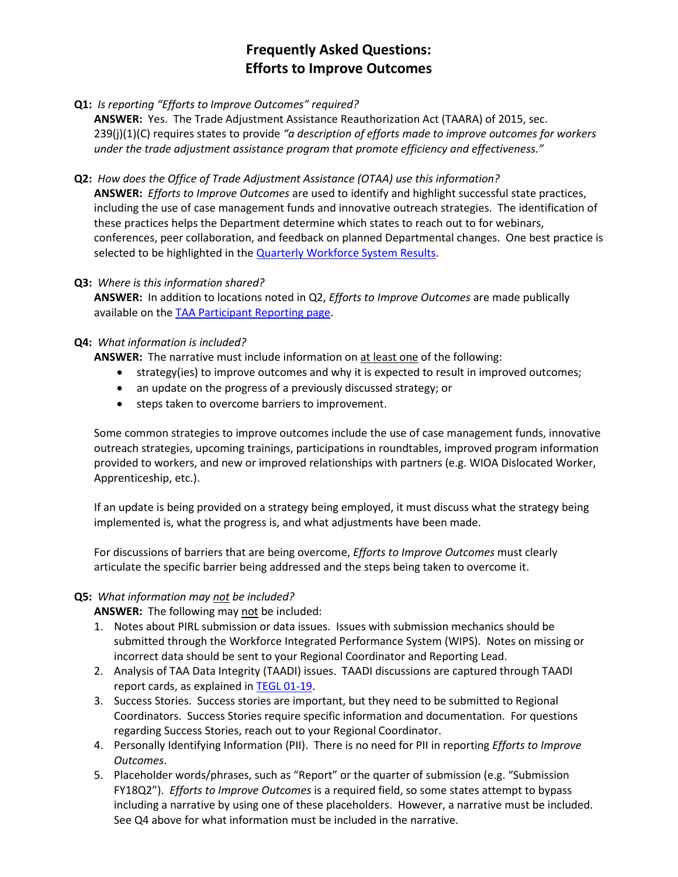# **Frequently Asked Questions: Efforts to Improve Outcomes**

**Q1:** *Is reporting "Efforts to Improve Outcomes" required?*

**ANSWER:** Yes. The Trade Adjustment Assistance Reauthorization Act (TAARA) of 2015, sec. 239(j)(1)(C) requires states to provide *"a description of efforts made to improve outcomes for workers under the trade adjustment assistance program that promote efficiency and effectiveness."*

**Q2:** *How does the Office of Trade Adjustment Assistance (OTAA) use this information?*

**ANSWER:** *Efforts to Improve Outcomes* are used to identify and highlight successful state practices, including the use of case management funds and innovative outreach strategies. The identification of these practices helps the Department determine which states to reach out to for webinars, conferences, peer collaboration, and feedback on planned Departmental changes. One best practice is selected to be highlighted in th[e Quarterly Workforce System Results.](https://www.doleta.gov/performance/results/reports.cfm)

### **Q3:** *Where is this information shared?*

**ANSWER:** In addition to locations noted in Q2, *Efforts to Improve Outcomes* are made publically available on the [TAA Participant](https://www.doleta.gov/tradeact/taa-data/participant-reporting/) Reporting page.

## **Q4:** *What information is included?*

**ANSWER:** The narrative must include information on at least one of the following:

- strategy(ies) to improve outcomes and why it is expected to result in improved outcomes;
- an update on the progress of a previously discussed strategy; or
- steps taken to overcome barriers to improvement.

Some common strategies to improve outcomes include the use of case management funds, innovative outreach strategies, upcoming trainings, participations in roundtables, improved program information provided to workers, and new or improved relationships with partners (e.g. WIOA Dislocated Worker, Apprenticeship, etc.).

If an update is being provided on a strategy being employed, it must discuss what the strategy being implemented is, what the progress is, and what adjustments have been made.

For discussions of barriers that are being overcome, *Efforts to Improve Outcomes* must clearly articulate the specific barrier being addressed and the steps being taken to overcome it.

## **Q5:** *What information may not be included?*

**ANSWER:** The following may not be included:

- 1. Notes about PIRL submission or data issues. Issues with submission mechanics should be submitted through the Workforce Integrated Performance System (WIPS). Notes on missing or incorrect data should be sent to your Regional Coordinator and Reporting Lead.
- 2. Analysis of TAA Data Integrity (TAADI) issues. TAADI discussions are captured through TAADI report cards, as explained i[n TEGL 01-19.](https://wdr.doleta.gov/directives/corr_doc.cfm?docn=7478)
- 3. Success Stories. Success stories are important, but they need to be submitted to Regional Coordinators. Success Stories require specific information and documentation. For questions regarding Success Stories, reach out to your Regional Coordinator.
- 4. Personally Identifying Information (PII). There is no need for PII in reporting *Efforts to Improve Outcomes*.
- 5. Placeholder words/phrases, such as "Report" or the quarter of submission (e.g. "Submission FY18Q2"). *Efforts to Improve Outcomes* is a required field, so some states attempt to bypass including a narrative by using one of these placeholders. However, a narrative must be included. See Q4 above for what information must be included in the narrative.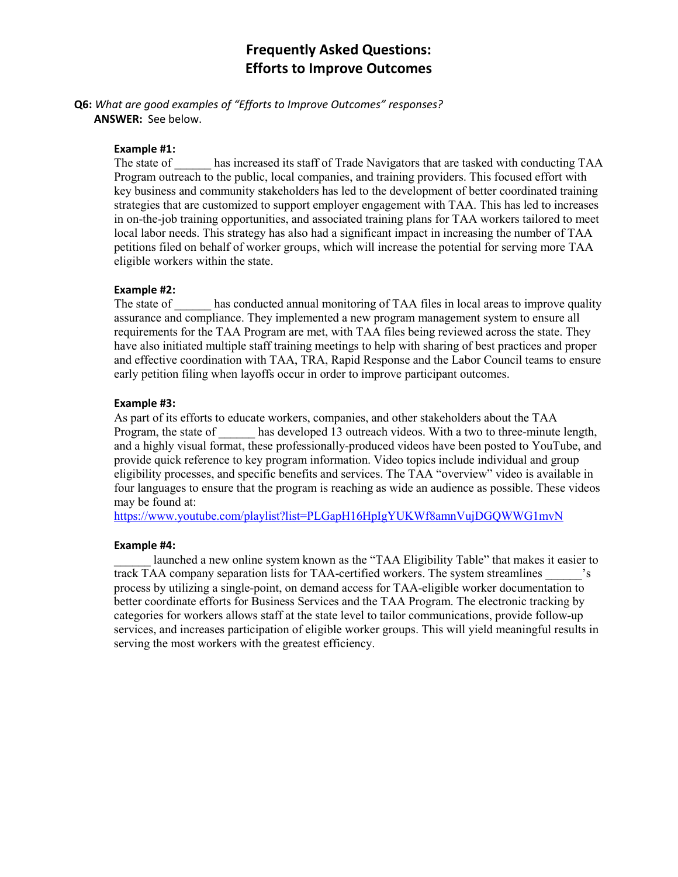## **Frequently Asked Questions: Efforts to Improve Outcomes**

**Q6:** *What are good examples of "Efforts to Improve Outcomes" responses?* **ANSWER:** See below.

### **Example #1:**

The state of has increased its staff of Trade Navigators that are tasked with conducting TAA Program outreach to the public, local companies, and training providers. This focused effort with key business and community stakeholders has led to the development of better coordinated training strategies that are customized to support employer engagement with TAA. This has led to increases in on-the-job training opportunities, and associated training plans for TAA workers tailored to meet local labor needs. This strategy has also had a significant impact in increasing the number of TAA petitions filed on behalf of worker groups, which will increase the potential for serving more TAA eligible workers within the state.

### **Example #2:**

The state of has conducted annual monitoring of TAA files in local areas to improve quality assurance and compliance. They implemented a new program management system to ensure all requirements for the TAA Program are met, with TAA files being reviewed across the state. They have also initiated multiple staff training meetings to help with sharing of best practices and proper and effective coordination with TAA, TRA, Rapid Response and the Labor Council teams to ensure early petition filing when layoffs occur in order to improve participant outcomes.

#### **Example #3:**

As part of its efforts to educate workers, companies, and other stakeholders about the TAA Program, the state of \_\_\_\_\_\_ has developed 13 outreach videos. With a two to three-minute length, and a highly visual format, these professionally-produced videos have been posted to YouTube, and provide quick reference to key program information. Video topics include individual and group eligibility processes, and specific benefits and services. The TAA "overview" video is available in four languages to ensure that the program is reaching as wide an audience as possible. These videos may be found at:

<https://www.youtube.com/playlist?list=PLGapH16HpIgYUKWf8amnVujDGQWWG1mvN>

#### **Example #4:**

launched a new online system known as the "TAA Eligibility Table" that makes it easier to track TAA company separation lists for TAA-certified workers. The system streamlines process by utilizing a single-point, on demand access for TAA-eligible worker documentation to better coordinate efforts for Business Services and the TAA Program. The electronic tracking by categories for workers allows staff at the state level to tailor communications, provide follow-up services, and increases participation of eligible worker groups. This will yield meaningful results in serving the most workers with the greatest efficiency.